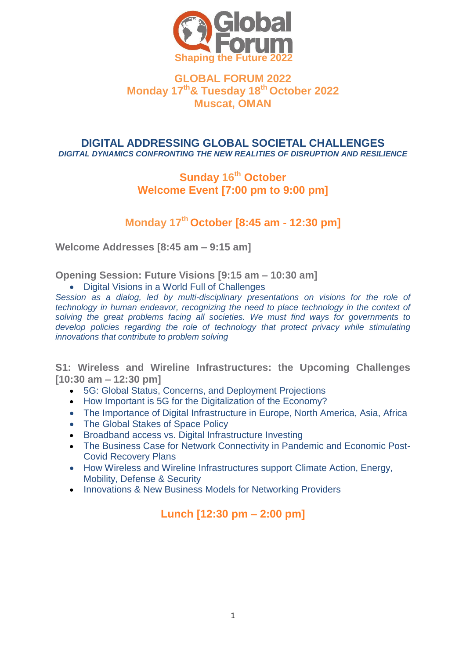

## **GLOBAL FORUM 2022 Monday 17th& Tuesday 18th October 2022 Muscat, OMAN**

#### **DIGITAL ADDRESSING GLOBAL SOCIETAL CHALLENGES** *DIGITAL DYNAMICS CONFRONTING THE NEW REALITIES OF DISRUPTION AND RESILIENCE*

## **Sunday 16th October Welcome Event [7:00 pm to 9:00 pm]**

# **Monday 17th October [8:45 am - 12:30 pm]**

**Welcome Addresses [8:45 am – 9:15 am]**

**Opening Session: Future Visions [9:15 am – 10:30 am]**

Digital Visions in a World Full of Challenges

*Session as a dialog, led by multi-disciplinary presentations on visions for the role of technology in human endeavor, recognizing the need to place technology in the context of solving the great problems facing all societies. We must find ways for governments to*  develop policies regarding the role of technology that protect privacy while stimulating *innovations that contribute to problem solving*

**S1: Wireless and Wireline Infrastructures: the Upcoming Challenges [10:30 am – 12:30 pm]**

- 5G: Global Status, Concerns, and Deployment Projections
- How Important is 5G for the Digitalization of the Economy?
- The Importance of Digital Infrastructure in Europe, North America, Asia, Africa
- The Global Stakes of Space Policy
- **Broadband access vs. Digital Infrastructure Investing**
- The Business Case for Network Connectivity in Pandemic and Economic Post-Covid Recovery Plans
- How Wireless and Wireline Infrastructures support Climate Action, Energy, Mobility, Defense & Security
- Innovations & New Business Models for Networking Providers

# **Lunch [12:30 pm – 2:00 pm]**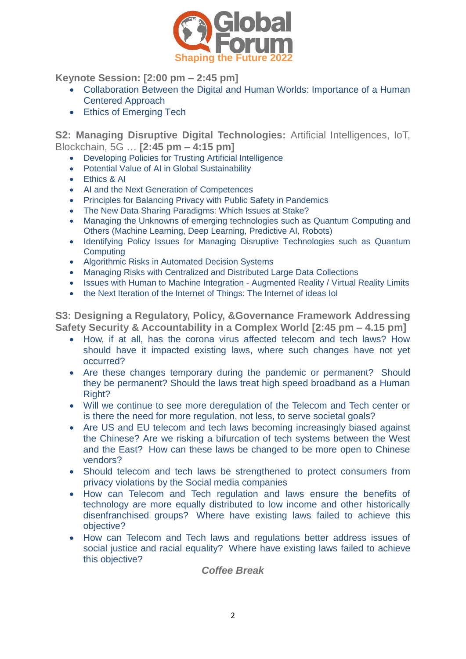

**Keynote Session: [2:00 pm – 2:45 pm]**

- Collaboration Between the Digital and Human Worlds: Importance of a Human Centered Approach
- Ethics of Emerging Tech

**S2: Managing Disruptive Digital Technologies:** Artificial Intelligences, IoT, Blockchain, 5G … **[2:45 pm – 4:15 pm]**

- Developing Policies for Trusting Artificial Intelligence
- Potential Value of AI in Global Sustainability
- Fthics & AI
- AI and the Next Generation of Competences
- Principles for Balancing Privacy with Public Safety in Pandemics
- The New Data Sharing Paradigms: Which Issues at Stake?
- Managing the Unknowns of emerging technologies such as Quantum Computing and Others (Machine Learning, Deep Learning, Predictive AI, Robots)
- Identifying Policy Issues for Managing Disruptive Technologies such as Quantum **Computing**
- Algorithmic Risks in Automated Decision Systems
- Managing Risks with Centralized and Distributed Large Data Collections
- Issues with Human to Machine Integration Augmented Reality / Virtual Reality Limits
- the Next Iteration of the Internet of Things: The Internet of ideas IoI

**S3: Designing a Regulatory, Policy, &Governance Framework Addressing Safety Security & Accountability in a Complex World [2:45 pm – 4.15 pm]**

- How, if at all, has the corona virus affected telecom and tech laws? How should have it impacted existing laws, where such changes have not yet occurred?
- Are these changes temporary during the pandemic or permanent? Should they be permanent? Should the laws treat high speed broadband as a Human Right?
- Will we continue to see more deregulation of the Telecom and Tech center or is there the need for more regulation, not less, to serve societal goals?
- Are US and EU telecom and tech laws becoming increasingly biased against the Chinese? Are we risking a bifurcation of tech systems between the West and the East? How can these laws be changed to be more open to Chinese vendors?
- Should telecom and tech laws be strengthened to protect consumers from privacy violations by the Social media companies
- How can Telecom and Tech regulation and laws ensure the benefits of technology are more equally distributed to low income and other historically disenfranchised groups? Where have existing laws failed to achieve this objective?
- How can Telecom and Tech laws and regulations better address issues of social justice and racial equality? Where have existing laws failed to achieve this objective?

*Coffee Break*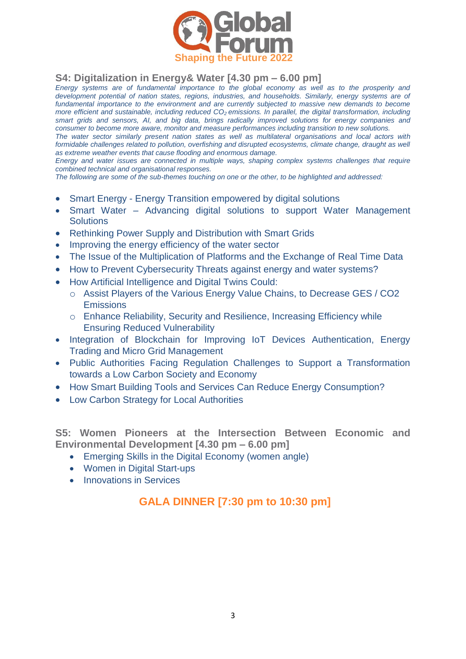

## **S4: Digitalization in Energy& Water [4.30 pm – 6.00 pm]**

*Energy systems are of fundamental importance to the global economy as well as to the prosperity and development potential of nation states, regions, industries, and households. Similarly, energy systems are of*  fundamental importance to the environment and are currently subjected to massive new demands to become *more efficient and sustainable, including reduced CO2 emissions. In parallel, the digital transformation, including smart grids and sensors, AI, and big data, brings radically improved solutions for energy companies and consumer to become more aware, monitor and measure performances including transition to new solutions.* 

*The water sector similarly present nation states as well as multilateral organisations and local actors with formidable challenges related to pollution, overfishing and disrupted ecosystems, climate change, draught as well as extreme weather events that cause flooding and enormous damage.* 

*Energy and water issues are connected in multiple ways, shaping complex systems challenges that require combined technical and organisational responses.* 

*The following are some of the sub-themes touching on one or the other, to be highlighted and addressed:* 

- Smart Energy Energy Transition empowered by digital solutions
- Smart Water Advancing digital solutions to support Water Management **Solutions**
- Rethinking Power Supply and Distribution with Smart Grids
- Improving the energy efficiency of the water sector
- The Issue of the Multiplication of Platforms and the Exchange of Real Time Data
- How to Prevent Cybersecurity Threats against energy and water systems?
- How Artificial Intelligence and Digital Twins Could:
	- o Assist Players of the Various Energy Value Chains, to Decrease GES / CO2 **Emissions**
	- o Enhance Reliability, Security and Resilience, Increasing Efficiency while Ensuring Reduced Vulnerability
- Integration of Blockchain for Improving IoT Devices Authentication, Energy Trading and Micro Grid Management
- Public Authorities Facing Regulation Challenges to Support a Transformation towards a Low Carbon Society and Economy
- How Smart Building Tools and Services Can Reduce Energy Consumption?
- Low Carbon Strategy for Local Authorities

**S5: Women Pioneers at the Intersection Between Economic and Environmental Development [4.30 pm – 6.00 pm]**

- Emerging Skills in the Digital Economy (women angle)
- Women in Digital Start-ups
- Innovations in Services

## **GALA DINNER [7:30 pm to 10:30 pm]**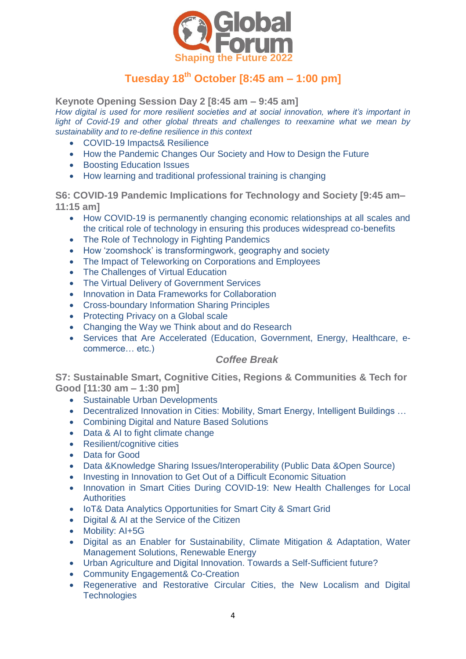

# **Tuesday 18th October [8:45 am – 1:00 pm]**

**Keynote Opening Session Day 2 [8:45 am – 9:45 am]** *How digital is used for more resilient societies and at social innovation, where it's important in light of Covid-19 and other global threats and challenges to reexamine what we mean by sustainability and to re-define resilience in this context*

- COVID-19 Impacts& Resilience
- How the Pandemic Changes Our Society and How to Design the Future
- **•** Boosting Education Issues
- How learning and traditional professional training is changing

**S6: COVID-19 Pandemic Implications for Technology and Society [9:45 am– 11:15 am]** 

- How COVID-19 is permanently changing economic relationships at all scales and the critical role of technology in ensuring this produces widespread co-benefits
- The Role of Technology in Fighting Pandemics
- How 'zoomshock' is transformingwork, geography and society
- The Impact of Teleworking on Corporations and Employees
- The Challenges of Virtual Education
- The Virtual Delivery of Government Services
- Innovation in Data Frameworks for Collaboration
- Cross-boundary Information Sharing Principles
- Protecting Privacy on a Global scale
- Changing the Way we Think about and do Research
- Services that Are Accelerated (Education, Government, Energy, Healthcare, ecommerce… etc.)

### *Coffee Break*

**S7: Sustainable Smart, Cognitive Cities, Regions & Communities & Tech for Good [11:30 am – 1:30 pm]**

- Sustainable Urban Developments
- Decentralized Innovation in Cities: Mobility, Smart Energy, Intelligent Buildings …
- Combining Digital and Nature Based Solutions
- Data & AI to fight climate change
- Resilient/cognitive cities
- Data for Good
- Data &Knowledge Sharing Issues/Interoperability (Public Data &Open Source)
- Investing in Innovation to Get Out of a Difficult Economic Situation
- Innovation in Smart Cities During COVID-19: New Health Challenges for Local **Authorities**
- IoT& Data Analytics Opportunities for Smart City & Smart Grid
- Digital & AI at the Service of the Citizen
- Mobility: AI+5G
- Digital as an Enabler for Sustainability, Climate Mitigation & Adaptation, Water Management Solutions, Renewable Energy
- Urban Agriculture and Digital Innovation. Towards a Self-Sufficient future?
- Community Engagement& Co-Creation
- Regenerative and Restorative Circular Cities, the New Localism and Digital **Technologies**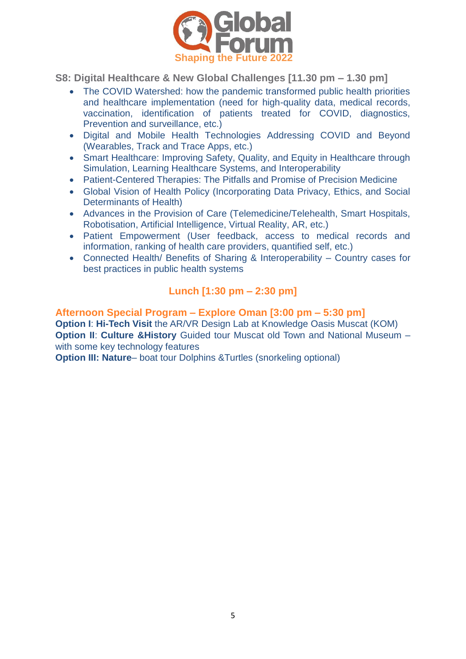

**S8: Digital Healthcare & New Global Challenges [11.30 pm – 1.30 pm]**

- The COVID Watershed: how the pandemic transformed public health priorities and healthcare implementation (need for high-quality data, medical records, vaccination, identification of patients treated for COVID, diagnostics, Prevention and surveillance, etc.)
- Digital and Mobile Health Technologies Addressing COVID and Beyond (Wearables, Track and Trace Apps, etc.)
- Smart Healthcare: Improving Safety, Quality, and Equity in Healthcare through Simulation, Learning Healthcare Systems, and Interoperability
- Patient-Centered Therapies: The Pitfalls and Promise of Precision Medicine
- Global Vision of Health Policy (Incorporating Data Privacy, Ethics, and Social Determinants of Health)
- Advances in the Provision of Care (Telemedicine/Telehealth, Smart Hospitals, Robotisation, Artificial Intelligence, Virtual Reality, AR, etc.)
- Patient Empowerment (User feedback, access to medical records and information, ranking of health care providers, quantified self, etc.)
- Connected Health/ Benefits of Sharing & Interoperability Country cases for best practices in public health systems

# **Lunch [1:30 pm – 2:30 pm]**

### **Afternoon Special Program – Explore Oman [3:00 pm – 5:30 pm] Option I**: **Hi-Tech Visit** the AR/VR Design Lab at Knowledge Oasis Muscat (KOM) **Option II: Culture &History** Guided tour Muscat old Town and National Museum – with some key technology features

**Option III: Nature**– boat tour Dolphins &Turtles (snorkeling optional)